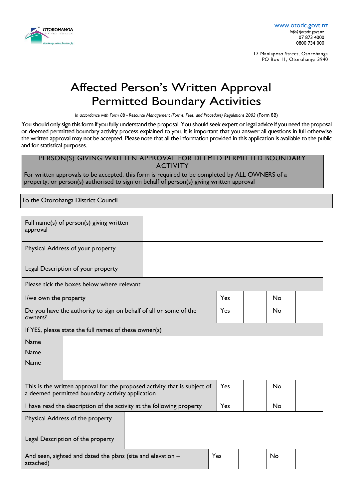

17 Maniapoto Street, Otorohanga PO Box 11, Otorohanga 3940

# Affected Person's Written Approval Permitted Boundary Activities

*In accordance with Form 8B - Resource Management (Forms, Fees, and Procedure) Regulations 2003* (Form 8B)

You should only sign this form if you fully understand the proposal. You should seek expert or legal advice if you need the proposal or deemed permitted boundary activity process explained to you. It is important that you answer all questions in full otherwise the written approval may not be accepted. Please note that all the information provided in this application is available to the public and for statistical purposes.

#### PERSON(S) GIVING WRITTEN APPROVAL FOR DEEMED PERMITTED BOUNDARY ACTIVITY

For written approvals to be accepted, this form is required to be completed by ALL OWNERS of a property, or person(s) authorised to sign on behalf of person(s) giving written approval

To the Otorohanga District Council

| Full name(s) of person(s) giving written<br>approval                                                                          |  |     |    |    |  |
|-------------------------------------------------------------------------------------------------------------------------------|--|-----|----|----|--|
| Physical Address of your property                                                                                             |  |     |    |    |  |
| Legal Description of your property                                                                                            |  |     |    |    |  |
| Please tick the boxes below where relevant                                                                                    |  |     |    |    |  |
| I/we own the property                                                                                                         |  | Yes |    | No |  |
| Do you have the authority to sign on behalf of all or some of the<br>owners?                                                  |  | Yes |    | No |  |
| If YES, please state the full names of these owner(s)                                                                         |  |     |    |    |  |
| Name<br><b>Name</b><br><b>Name</b>                                                                                            |  |     |    |    |  |
| This is the written approval for the proposed activity that is subject of<br>a deemed permitted boundary activity application |  | Yes |    | No |  |
| I have read the description of the activity at the following property                                                         |  | Yes |    | No |  |
| Physical Address of the property                                                                                              |  |     |    |    |  |
| Legal Description of the property                                                                                             |  |     |    |    |  |
| Yes<br>And seen, sighted and dated the plans (site and elevation -<br>attached)                                               |  |     | No |    |  |